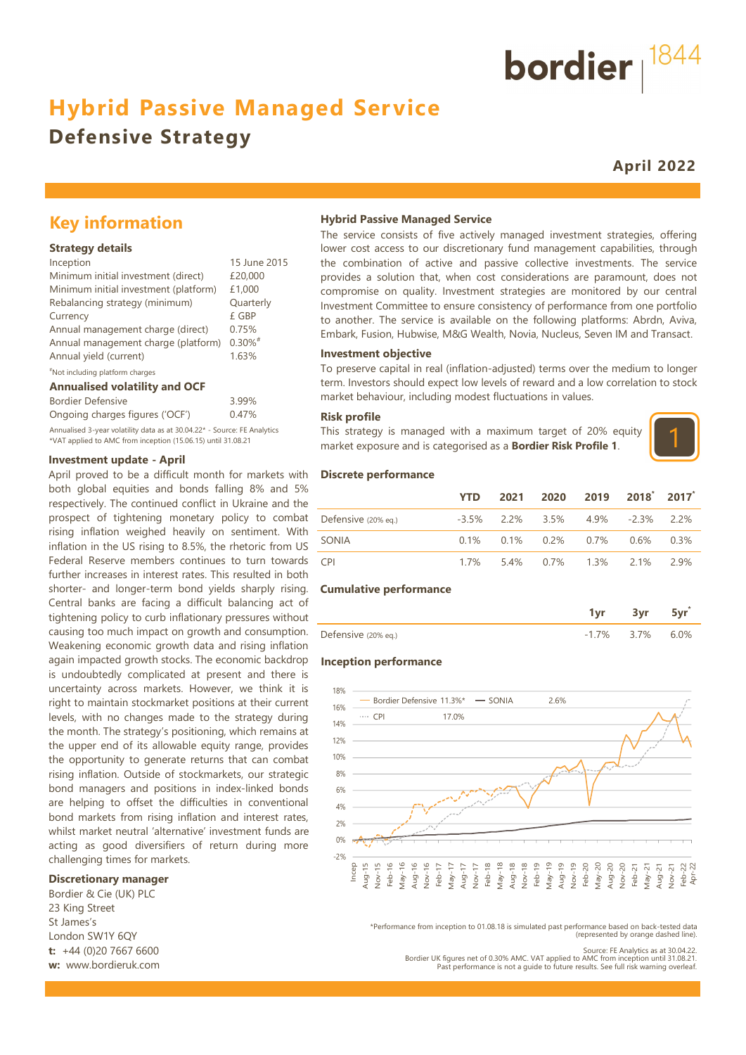# **Hybrid Passive Managed Service**

# **Defensive Strategy**

**April 2022**

bordier  $1844$ 

# **Key information**

# **Strategy details**

| Inception                             | 15 June 2015          |
|---------------------------------------|-----------------------|
| Minimum initial investment (direct)   | £20,000               |
| Minimum initial investment (platform) | £1,000                |
| Rebalancing strategy (minimum)        | Quarterly             |
| Currency                              | £ GBP                 |
| Annual management charge (direct)     | 0.75%                 |
| Annual management charge (platform)   | $0.30\%$ <sup>#</sup> |
| Annual yield (current)                | 1.63%                 |
|                                       |                       |

## #Not including platform charges

#### **Annualised volatility and OCF**

| <b>Bordier Defensive</b>                                                 | 3.99% |
|--------------------------------------------------------------------------|-------|
| Ongoing charges figures ('OCF')                                          | 0.47% |
| Annualised 3-year volatility data as at 30.04.22* - Source: FE Analytics |       |
| *VAT applied to AMC from inception (15.06.15) until 31.08.21             |       |

## **Investment update - April**

April proved to be a difficult month for markets with both global equities and bonds falling 8% and 5% respectively. The continued conflict in Ukraine and the prospect of tightening monetary policy to combat rising inflation weighed heavily on sentiment. With inflation in the US rising to 8.5%, the rhetoric from US Federal Reserve members continues to turn towards further increases in interest rates. This resulted in both shorter- and longer-term bond yields sharply rising. Central banks are facing a difficult balancing act of tightening policy to curb inflationary pressures without causing too much impact on growth and consumption. Weakening economic growth data and rising inflation again impacted growth stocks. The economic backdrop is undoubtedly complicated at present and there is uncertainty across markets. However, we think it is right to maintain stockmarket positions at their current levels, with no changes made to the strategy during the month. The strategy's positioning, which remains at the upper end of its allowable equity range, provides the opportunity to generate returns that can combat rising inflation. Outside of stockmarkets, our strategic bond managers and positions in index-linked bonds are helping to offset the difficulties in conventional bond markets from rising inflation and interest rates, whilst market neutral 'alternative' investment funds are acting as good diversifiers of return during more challenging times for markets.

# **Discretionary manager**

Bordier & Cie (UK) PLC 23 King Street St James's London SW1Y 6QY **t:** +44 (0)20 7667 6600 **w:** www.bordieruk.com

# **Hybrid Passive Managed Service**

The service consists of five actively managed investment strategies, offering lower cost access to our discretionary fund management capabilities, through the combination of active and passive collective investments. The service provides a solution that, when cost considerations are paramount, does not compromise on quality. Investment strategies are monitored by our central Investment Committee to ensure consistency of performance from one portfolio to another. The service is available on the following platforms: Abrdn, Aviva, Embark, Fusion, Hubwise, M&G Wealth, Novia, Nucleus, Seven IM and Transact.

# **Investment objective**

To preserve capital in real (inflation-adjusted) terms over the medium to longer term. Investors should expect low levels of reward and a low correlation to stock market behaviour, including modest fluctuations in values.

# **Risk profile**

This strategy is managed with a maximum target of 20% equity market exposure and is categorised as a **Bordier Risk Profile 1**.



## **Discrete performance**

|                     | <b>YTD</b> | 2021 2020 2019 2018 2017                        |  |  |
|---------------------|------------|-------------------------------------------------|--|--|
| Defensive (20% eg.) |            | $-3.5\%$ 2.2% 3.5% 4.9% -2.3% 2.2%              |  |  |
| SONIA               |            | $0.1\%$ $0.1\%$ $0.2\%$ $0.7\%$ $0.6\%$ $0.3\%$ |  |  |
| CPI                 |            | 1.7% 5.4% 0.7% 1.3% 2.1% 2.9%                   |  |  |

#### **Cumulative performance**

| Defensive (20% eq.) | $\sim$ | 3.7% |  |
|---------------------|--------|------|--|

#### **Inception performance**



\*Performance from inception to 01.08.18 is simulated past performance based on back-tested data (represented by orange dashed line).

Source: FE Analytics as at 30.04.22.<br>Bordier UK figures net of 0.30% AMC. VAT applied to AMC from inception until 31.08.21.<br>Past performance is not a quide to future results. See full risk warning overleaf.